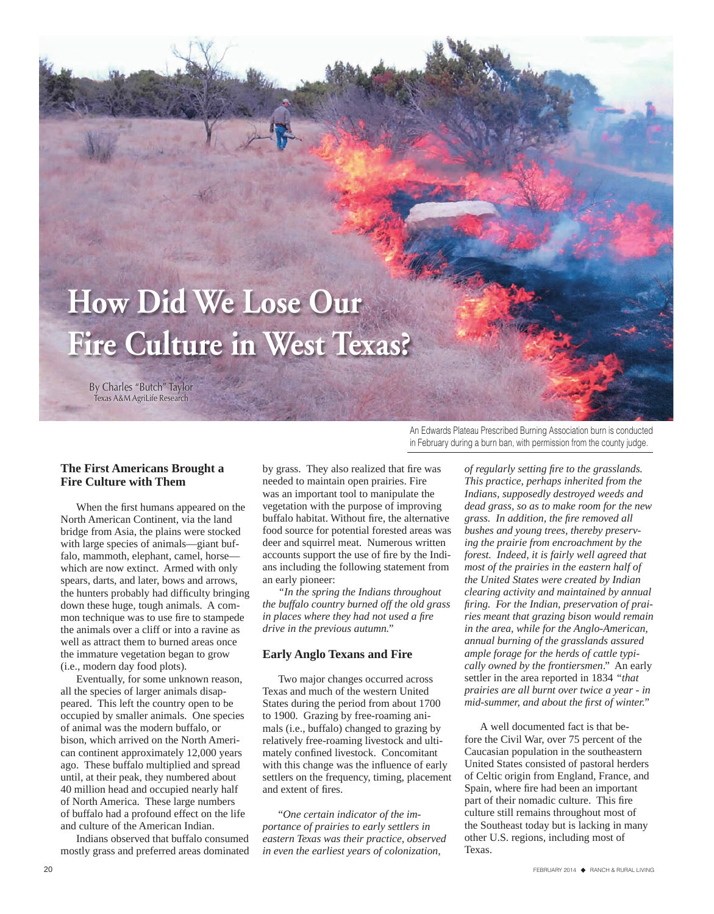# **How Did We Lose Our Fire Culture in West Texas?**

By Charles "Butch" Taylor Texas A&M AgriLife Research

#### **The First Americans Brought a Fire Culture with Them**

When the first humans appeared on the North American Continent, via the land bridge from Asia, the plains were stocked with large species of animals—giant buffalo, mammoth, elephant, camel, horse which are now extinct. Armed with only spears, darts, and later, bows and arrows, the hunters probably had difficulty bringing down these huge, tough animals. A common technique was to use fire to stampede the animals over a cliff or into a ravine as well as attract them to burned areas once the immature vegetation began to grow (i.e., modern day food plots).

Eventually, for some unknown reason, all the species of larger animals disappeared. This left the country open to be occupied by smaller animals. One species of animal was the modern buffalo, or bison, which arrived on the North American continent approximately 12,000 years ago. These buffalo multiplied and spread until, at their peak, they numbered about 40 million head and occupied nearly half of North America. These large numbers of buffalo had a profound effect on the life and culture of the American Indian.

Indians observed that buffalo consumed mostly grass and preferred areas dominated by grass. They also realized that fire was needed to maintain open prairies. Fire was an important tool to manipulate the vegetation with the purpose of improving buffalo habitat. Without fire, the alternative food source for potential forested areas was deer and squirrel meat. Numerous written accounts support the use of fire by the Indians including the following statement from an early pioneer:

*"In the spring the Indians throughout the buffalo country burned off the old grass in places where they had not used a fire drive in the previous autumn."*

#### **Early Anglo Texans and Fire**

Two major changes occurred across Texas and much of the western United States during the period from about 1700 to 1900. Grazing by free-roaming animals (i.e., buffalo) changed to grazing by relatively free-roaming livestock and ultimately confined livestock. Concomitant with this change was the influence of early settlers on the frequency, timing, placement and extent of fires.

"*One certain indicator of the importance of prairies to early settlers in eastern Texas was their practice, observed in even the earliest years of colonization,* 

An Edwards Plateau Prescribed Burning Association burn is conducted in February during a burn ban, with permission from the county judge.

> *of regularly setting fire to the grasslands. This practice, perhaps inherited from the Indians, supposedly destroyed weeds and dead grass, so as to make room for the new grass. In addition, the fire removed all bushes and young trees, thereby preserving the prairie from encroachment by the forest. Indeed, it is fairly well agreed that most of the prairies in the eastern half of the United States were created by Indian clearing activity and maintained by annual firing. For the Indian, preservation of prairies meant that grazing bison would remain in the area, while for the Anglo-American, annual burning of the grasslands assured ample forage for the herds of cattle typically owned by the frontiersmen*." An early settler in the area reported in 1834 *"that prairies are all burnt over twice a year - in mid-summer, and about the first of winter."*

A well documented fact is that before the Civil War, over 75 percent of the Caucasian population in the southeastern United States consisted of pastoral herders of Celtic origin from England, France, and Spain, where fire had been an important part of their nomadic culture. This fire culture still remains throughout most of the Southeast today but is lacking in many other U.S. regions, including most of Texas.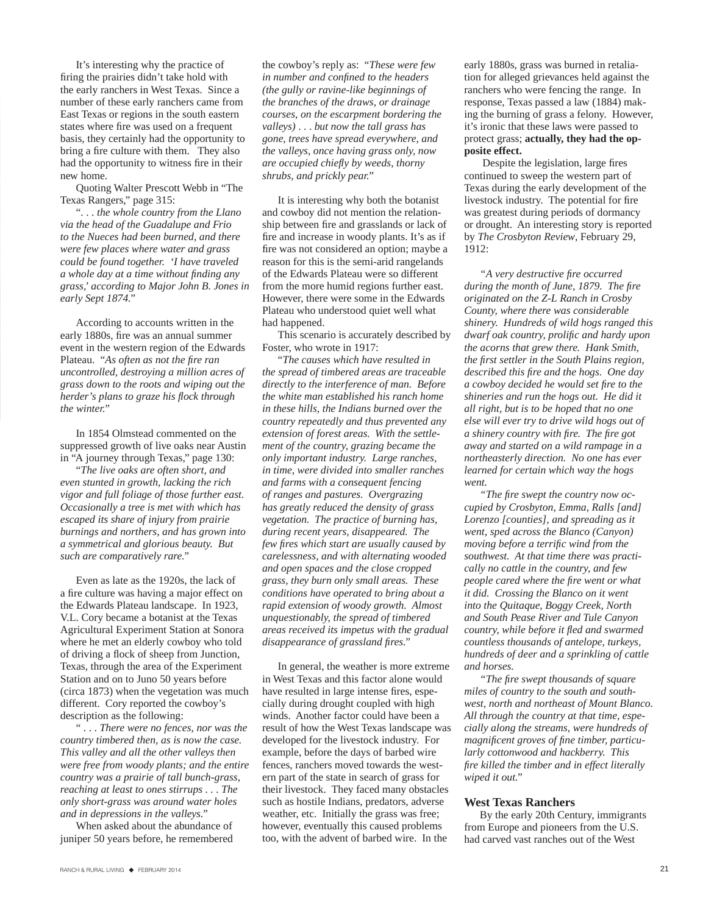It's interesting why the practice of firing the prairies didn't take hold with the early ranchers in West Texas. Since a number of these early ranchers came from East Texas or regions in the south eastern states where fire was used on a frequent basis, they certainly had the opportunity to bring a fire culture with them. They also had the opportunity to witness fire in their new home.

Quoting Walter Prescott Webb in "The Texas Rangers," page 315:

". . . *the whole country from the Llano via the head of the Guadalupe and Frio to the Nueces had been burned, and there were few places where water and grass could be found together. 'I have traveled a whole day at a time without finding any grass,' according to Major John B. Jones in early Sept 1874."* 

According to accounts written in the early 1880s, fire was an annual summer event in the western region of the Edwards Plateau. "*As often as not the fire ran uncontrolled, destroying a million acres of grass down to the roots and wiping out the herder's plans to graze his flock through the winter."*

In 1854 Olmstead commented on the suppressed growth of live oaks near Austin in "A journey through Texas," page 130:

"*The live oaks are often short, and even stunted in growth, lacking the rich vigor and full foliage of those further east. Occasionally a tree is met with which has escaped its share of injury from prairie burnings and northers, and has grown into a symmetrical and glorious beauty. But such are comparatively rare."*

Even as late as the 1920s, the lack of a fire culture was having a major effect on the Edwards Plateau landscape.In 1923, V.L. Cory became a botanist at the Texas Agricultural Experiment Station at Sonora where he met an elderly cowboy who told of driving a flock of sheep from Junction, Texas, through the area of the Experiment Station and on to Juno 50 years before (circa 1873) when the vegetation was much different. Cory reported the cowboy's description as the following:

" . . . *There were no fences, nor was the country timbered then, as is now the case. This valley and all the other valleys then were free from woody plants; and the entire country was a prairie of tall bunch-grass, reaching at least to ones stirrups . . . The only short-grass was around water holes and in depressions in the valleys."* 

When asked about the abundance of juniper 50 years before, he remembered

the cowboy's reply as: "*These were few in number and confined to the headers (the gully or ravine-like beginnings of the branches of the draws, or drainage courses, on the escarpment bordering the valleys)* . . . *but now the tall grass has gone, trees have spread everywhere, and the valleys, once having grass only, now are occupied chiefly by weeds, thorny shrubs, and prickly pear."*

It is interesting why both the botanist and cowboy did not mention the relationship between fire and grasslands or lack of fire and increase in woody plants. It's as if fire was not considered an option; maybe a reason for this is the semi-arid rangelands of the Edwards Plateau were so different from the more humid regions further east. However, there were some in the Edwards Plateau who understood quiet well what had happened.

This scenario is accurately described by Foster, who wrote in 1917:

"*The causes which have resulted in the spread of timbered areas are traceable directly to the interference of man. Before the white man established his ranch home in these hills, the Indians burned over the country repeatedly and thus prevented any extension of forest areas. With the settlement of the country, grazing became the only important industry. Large ranches, in time, were divided into smaller ranches and farms with a consequent fencing of ranges and pastures. Overgrazing has greatly reduced the density of grass vegetation. The practice of burning has, during recent years, disappeared. The few fires which start are usually caused by carelessness, and with alternating wooded and open spaces and the close cropped grass, they burn only small areas. These conditions have operated to bring about a rapid extension of woody growth. Almost unquestionably, the spread of timbered areas received its impetus with the gradual disappearance of grassland fires."*

In general, the weather is more extreme in West Texas and this factor alone would have resulted in large intense fires, especially during drought coupled with high winds. Another factor could have been a result of how the West Texas landscape was developed for the livestock industry. For example, before the days of barbed wire fences, ranchers moved towards the western part of the state in search of grass for their livestock. They faced many obstacles such as hostile Indians, predators, adverse weather, etc. Initially the grass was free; however, eventually this caused problems too, with the advent of barbed wire. In the

early 1880s, grass was burned in retaliation for alleged grievances held against the ranchers who were fencing the range. In response, Texas passed a law (1884) making the burning of grass a felony. However, it's ironic that these laws were passed to protect grass; **actually, they had the opposite effect.** 

 Despite the legislation, large fires continued to sweep the western part of Texas during the early development of the livestock industry. The potential for fire was greatest during periods of dormancy or drought. An interesting story is reported by *The Crosbyton Review*, February 29, 1912:

*"A very destructive fire occurred during the month of June, 1879. The fire originated on the Z-L Ranch in Crosby County, where there was considerable shinery. Hundreds of wild hogs ranged this dwarf oak country, prolific and hardy upon the acorns that grew there. Hank Smith, the first settler in the South Plains region, described this fire and the hogs. One day a cowboy decided he would set fire to the shineries and run the hogs out. He did it all right, but is to be hoped that no one else will ever try to drive wild hogs out of a shinery country with fire. The fire got away and started on a wild rampage in a northeasterly direction. No one has ever learned for certain which way the hogs went.* 

*"The fire swept the country now occupied by Crosbyton, Emma, Ralls [and] Lorenzo [counties], and spreading as it went, sped across the Blanco (Canyon) moving before a terrific wind from the southwest. At that time there was practically no cattle in the country, and few people cared where the fire went or what it did. Crossing the Blanco on it went into the Quitaque, Boggy Creek, North and South Pease River and Tule Canyon country, while before it fled and swarmed countless thousands of antelope, turkeys, hundreds of deer and a sprinkling of cattle and horses.* 

*"The fire swept thousands of square miles of country to the south and southwest, north and northeast of Mount Blanco. All through the country at that time, especially along the streams, were hundreds of magnificent groves of fine timber, particularly cottonwood and hackberry. This fire killed the timber and in effect literally wiped it out."*

#### **West Texas Ranchers**

By the early 20th Century, immigrants from Europe and pioneers from the U.S. had carved vast ranches out of the West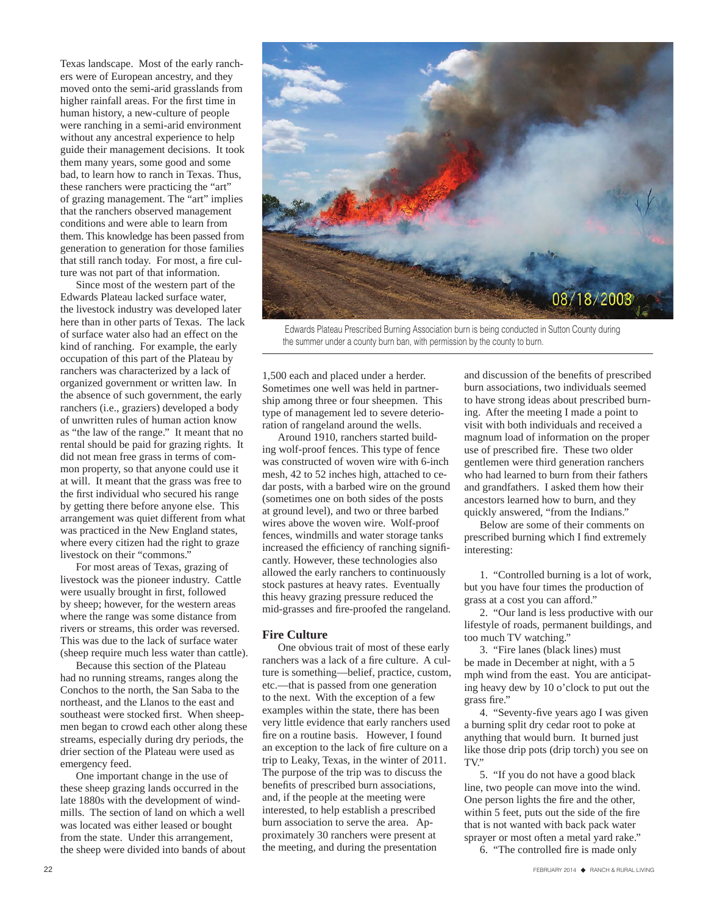Texas landscape. Most of the early ranchers were of European ancestry, and they moved onto the semi-arid grasslands from higher rainfall areas. For the first time in human history, a new-culture of people were ranching in a semi-arid environment without any ancestral experience to help guide their management decisions. It took them many years, some good and some bad, to learn how to ranch in Texas. Thus, these ranchers were practicing the "art" of grazing management. The "art" implies that the ranchers observed management conditions and were able to learn from them. This knowledge has been passed from generation to generation for those families that still ranch today. For most, a fire culture was not part of that information.

Since most of the western part of the Edwards Plateau lacked surface water, the livestock industry was developed later here than in other parts of Texas. The lack of surface water also had an effect on the kind of ranching. For example, the early occupation of this part of the Plateau by ranchers was characterized by a lack of organized government or written law. In the absence of such government, the early ranchers (i.e., graziers) developed a body of unwritten rules of human action know as "the law of the range." It meant that no rental should be paid for grazing rights. It did not mean free grass in terms of common property, so that anyone could use it at will. It meant that the grass was free to the first individual who secured his range by getting there before anyone else. This arrangement was quiet different from what was practiced in the New England states, where every citizen had the right to graze livestock on their "commons."

For most areas of Texas, grazing of livestock was the pioneer industry. Cattle were usually brought in first, followed by sheep; however, for the western areas where the range was some distance from rivers or streams, this order was reversed. This was due to the lack of surface water (sheep require much less water than cattle).

Because this section of the Plateau had no running streams, ranges along the Conchos to the north, the San Saba to the northeast, and the Llanos to the east and southeast were stocked first. When sheepmen began to crowd each other along these streams, especially during dry periods, the drier section of the Plateau were used as emergency feed.

One important change in the use of these sheep grazing lands occurred in the late 1880s with the development of windmills. The section of land on which a well was located was either leased or bought from the state. Under this arrangement, the sheep were divided into bands of about



 Edwards Plateau Prescribed Burning Association burn is being conducted in Sutton County during the summer under a county burn ban, with permission by the county to burn.

1,500 each and placed under a herder. Sometimes one well was held in partnership among three or four sheepmen. This type of management led to severe deterioration of rangeland around the wells.

Around 1910, ranchers started building wolf-proof fences. This type of fence was constructed of woven wire with 6-inch mesh, 42 to 52 inches high, attached to cedar posts, with a barbed wire on the ground (sometimes one on both sides of the posts at ground level), and two or three barbed wires above the woven wire. Wolf-proof fences, windmills and water storage tanks increased the efficiency of ranching significantly. However, these technologies also allowed the early ranchers to continuously stock pastures at heavy rates. Eventually this heavy grazing pressure reduced the mid-grasses and fire-proofed the rangeland.

#### **Fire Culture**

One obvious trait of most of these early ranchers was a lack of a fire culture. A culture is something—belief, practice, custom, etc.—that is passed from one generation to the next. With the exception of a few examples within the state, there has been very little evidence that early ranchers used fire on a routine basis. However, I found an exception to the lack of fire culture on a trip to Leaky, Texas, in the winter of 2011. The purpose of the trip was to discuss the benefits of prescribed burn associations, and, if the people at the meeting were interested, to help establish a prescribed burn association to serve the area. Approximately 30 ranchers were present at the meeting, and during the presentation

and discussion of the benefits of prescribed burn associations, two individuals seemed to have strong ideas about prescribed burning. After the meeting I made a point to visit with both individuals and received a magnum load of information on the proper use of prescribed fire. These two older gentlemen were third generation ranchers who had learned to burn from their fathers and grandfathers. I asked them how their ancestors learned how to burn, and they quickly answered, "from the Indians."

Below are some of their comments on prescribed burning which I find extremely interesting:

1. "Controlled burning is a lot of work, but you have four times the production of grass at a cost you can afford."

2. "Our land is less productive with our lifestyle of roads, permanent buildings, and too much TV watching."

3. "Fire lanes (black lines) must be made in December at night, with a 5 mph wind from the east. You are anticipating heavy dew by 10 o'clock to put out the grass fire."

4. "Seventy-five years ago I was given a burning split dry cedar root to poke at anything that would burn. It burned just like those drip pots (drip torch) you see on TV"

5. "If you do not have a good black line, two people can move into the wind. One person lights the fire and the other, within 5 feet, puts out the side of the fire that is not wanted with back pack water sprayer or most often a metal yard rake."

6. "The controlled fire is made only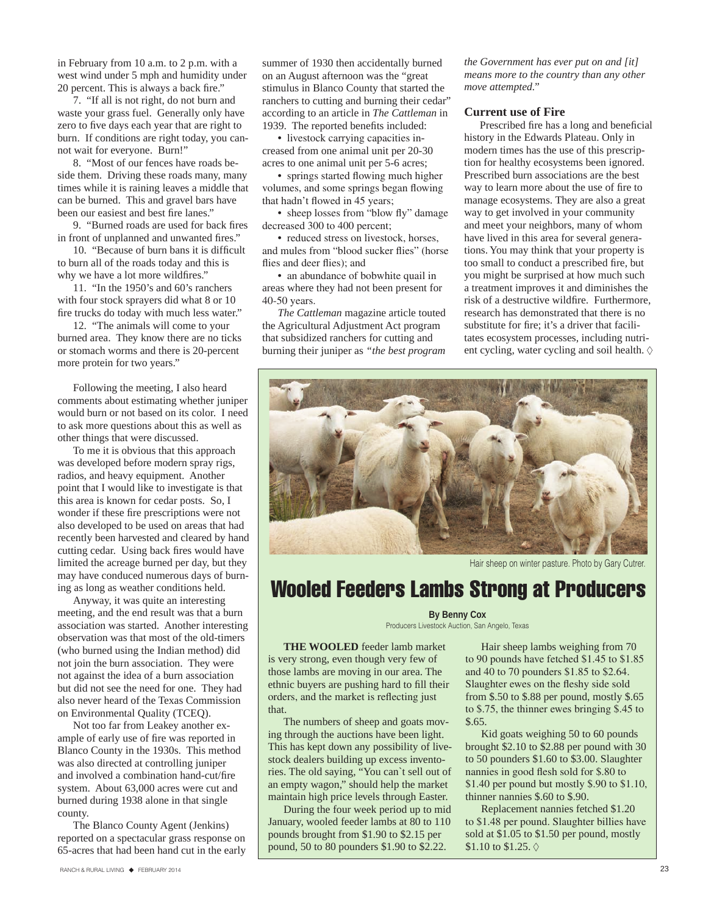in February from 10 a.m. to 2 p.m. with a west wind under 5 mph and humidity under 20 percent. This is always a back fire."

7. "If all is not right, do not burn and waste your grass fuel. Generally only have zero to five days each year that are right to burn. If conditions are right today, you cannot wait for everyone. Burn!"

8. "Most of our fences have roads beside them. Driving these roads many, many times while it is raining leaves a middle that can be burned. This and gravel bars have been our easiest and best fire lanes."

9. "Burned roads are used for back fires in front of unplanned and unwanted fires."

10. "Because of burn bans it is difficult to burn all of the roads today and this is why we have a lot more wildfires."

11. "In the 1950's and 60's ranchers with four stock sprayers did what 8 or 10 fire trucks do today with much less water."

12. "The animals will come to your burned area. They know there are no ticks or stomach worms and there is 20-percent more protein for two years."

Following the meeting, I also heard comments about estimating whether juniper would burn or not based on its color. I need to ask more questions about this as well as other things that were discussed.

To me it is obvious that this approach was developed before modern spray rigs, radios, and heavy equipment. Another point that I would like to investigate is that this area is known for cedar posts. So, I wonder if these fire prescriptions were not also developed to be used on areas that had recently been harvested and cleared by hand cutting cedar. Using back fires would have limited the acreage burned per day, but they may have conduced numerous days of burning as long as weather conditions held.

Anyway, it was quite an interesting meeting, and the end result was that a burn association was started. Another interesting observation was that most of the old-timers (who burned using the Indian method) did not join the burn association. They were not against the idea of a burn association but did not see the need for one. They had also never heard of the Texas Commission on Environmental Quality (TCEQ).

Not too far from Leakey another example of early use of fire was reported in Blanco County in the 1930s. This method was also directed at controlling juniper and involved a combination hand-cut/fire system. About 63,000 acres were cut and burned during 1938 alone in that single county.

The Blanco County Agent (Jenkins) reported on a spectacular grass response on 65-acres that had been hand cut in the early

• livestock carrying capacities increased from one animal unit per 20-30 acres to one animal unit per 5-6 acres;

• springs started flowing much higher volumes, and some springs began flowing that hadn't flowed in 45 years;

• sheep losses from "blow fly" damage decreased 300 to 400 percent;

• reduced stress on livestock, horses, and mules from "blood sucker flies" (horse flies and deer flies); and

• an abundance of bobwhite quail in areas where they had not been present for 40-50 years.

*The Cattleman* magazine article touted the Agricultural Adjustment Act program that subsidized ranchers for cutting and burning their juniper as *"the best program*  *the Government has ever put on and [it] means more to the country than any other move attempted."*

#### **Current use of Fire**

Prescribed fire has a long and beneficial history in the Edwards Plateau. Only in modern times has the use of this prescription for healthy ecosystems been ignored. Prescribed burn associations are the best way to learn more about the use of fire to manage ecosystems. They are also a great way to get involved in your community and meet your neighbors, many of whom have lived in this area for several generations. You may think that your property is too small to conduct a prescribed fire, but you might be surprised at how much such a treatment improves it and diminishes the risk of a destructive wildfire. Furthermore, research has demonstrated that there is no substitute for fire; it's a driver that facilitates ecosystem processes, including nutrient cycling, water cycling and soil health.



Hair sheep on winter pasture. Photo by Gary Cutrer.

### Wooled Feeders Lambs Strong at Producers

#### **By Benny Cox**

Producers Livestock Auction, San Angelo, Texas

**THE WOOLED** feeder lamb market is very strong, even though very few of those lambs are moving in our area. The ethnic buyers are pushing hard to fill their orders, and the market is reflecting just that.

The numbers of sheep and goats moving through the auctions have been light. This has kept down any possibility of livestock dealers building up excess inventories. The old saying, "You can`t sell out of an empty wagon," should help the market maintain high price levels through Easter.

During the four week period up to mid January, wooled feeder lambs at 80 to 110 pounds brought from \$1.90 to \$2.15 per pound, 50 to 80 pounders \$1.90 to \$2.22.

Hair sheep lambs weighing from 70 to 90 pounds have fetched \$1.45 to \$1.85 and 40 to 70 pounders \$1.85 to \$2.64. Slaughter ewes on the fleshy side sold from \$.50 to \$.88 per pound, mostly \$.65 to \$.75, the thinner ewes bringing \$.45 to \$.65.

Kid goats weighing 50 to 60 pounds brought \$2.10 to \$2.88 per pound with 30 to 50 pounders \$1.60 to \$3.00. Slaughter nannies in good flesh sold for \$.80 to \$1.40 per pound but mostly \$.90 to \$1.10, thinner nannies \$.60 to \$.90.

Replacement nannies fetched \$1.20 to \$1.48 per pound. Slaughter billies have sold at \$1.05 to \$1.50 per pound, mostly \$1.10 to \$1.25.  $\diamond$